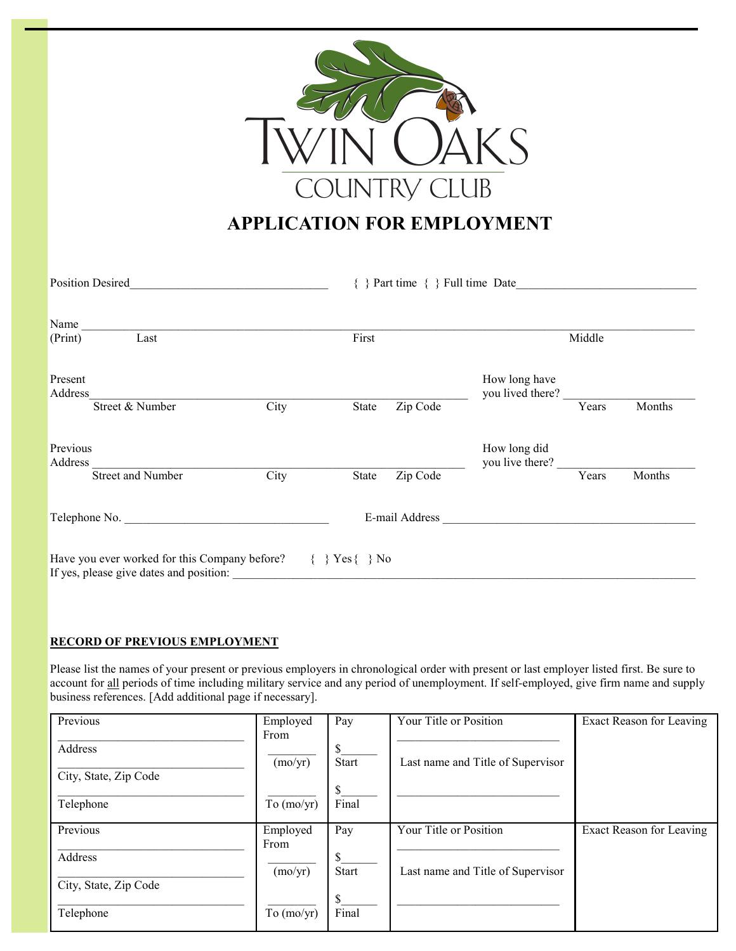

# **APPLICATION FOR EMPLOYMENT**

| <b>Position Desired</b> |                                                                                          |                   |                                    | $\{\ \}$ Part time $\{\ \}$ Full time Date |                                   |        |        |  |
|-------------------------|------------------------------------------------------------------------------------------|-------------------|------------------------------------|--------------------------------------------|-----------------------------------|--------|--------|--|
| Name<br>(Print)         | Last                                                                                     |                   | First                              |                                            |                                   | Middle |        |  |
| Present<br>Address      | Street & Number                                                                          | $\overline{City}$ | State                              | Zip Code                                   | How long have<br>you lived there? | Years  | Months |  |
| Previous<br>Address     | <b>Street and Number</b>                                                                 | City              | State                              | Zip Code                                   | How long did<br>you live there?   | Years  | Months |  |
|                         | Telephone No.                                                                            |                   |                                    |                                            |                                   |        |        |  |
|                         | Have you ever worked for this Company before?<br>If yes, please give dates and position: |                   | $\{ \} \text{Yes} \{ \} \text{No}$ |                                            |                                   |        |        |  |

#### **RECORD OF PREVIOUS EMPLOYMENT**

Please list the names of your present or previous employers in chronological order with present or last employer listed first. Be sure to account for all periods of time including military service and any period of unemployment. If self-employed, give firm name and supply business references. [Add additional page if necessary].

| Previous              | Employed         | Pay          | Your Title or Position            | Exact Reason for Leaving |
|-----------------------|------------------|--------------|-----------------------------------|--------------------------|
| Address               | From             | \$           |                                   |                          |
| City, State, Zip Code | (mo/yr)          | <b>Start</b> | Last name and Title of Supervisor |                          |
|                       |                  | \$           |                                   |                          |
| Telephone             | To $(mo/yr)$     | Final        |                                   |                          |
| Previous              | Employed<br>From | Pay          | Your Title or Position            | Exact Reason for Leaving |
| Address               |                  | \$           |                                   |                          |
| City, State, Zip Code | (mo/yr)          | Start        | Last name and Title of Supervisor |                          |
|                       |                  | \$<br>Final  |                                   |                          |
| Telephone             | To $(mo/yr)$     |              |                                   |                          |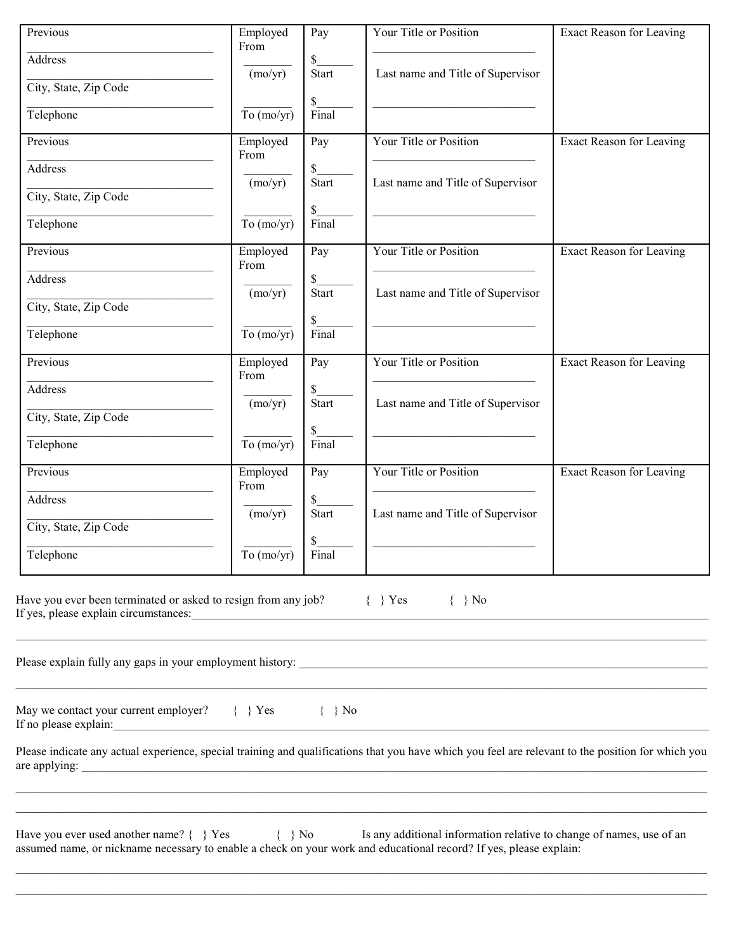| Previous                                                                  | Employed<br>From               | $\overline{Pay}$      | Your Title or Position                                                                                                                                                                     | Exact Reason for Leaving        |
|---------------------------------------------------------------------------|--------------------------------|-----------------------|--------------------------------------------------------------------------------------------------------------------------------------------------------------------------------------------|---------------------------------|
| <b>Address</b>                                                            | (mo/yr)                        | \$<br><b>Start</b>    | Last name and Title of Supervisor                                                                                                                                                          |                                 |
| City, State, Zip Code                                                     |                                | \$                    |                                                                                                                                                                                            |                                 |
| Telephone                                                                 | To $(mo/yr)$                   | Final                 |                                                                                                                                                                                            |                                 |
| Previous                                                                  | Employed<br>From               | Pay                   | Your Title or Position                                                                                                                                                                     | <b>Exact Reason for Leaving</b> |
| Address                                                                   | (mo/yr)                        | \$<br><b>Start</b>    | Last name and Title of Supervisor                                                                                                                                                          |                                 |
| City, State, Zip Code                                                     |                                |                       |                                                                                                                                                                                            |                                 |
| Telephone                                                                 | To $(mo/yr)$                   | \$<br>Final           |                                                                                                                                                                                            |                                 |
| Previous                                                                  | Employed                       | Pay                   | Your Title or Position                                                                                                                                                                     | Exact Reason for Leaving        |
| Address                                                                   | From                           | \$                    |                                                                                                                                                                                            |                                 |
| City, State, Zip Code                                                     | (mo/yr)                        | <b>Start</b>          | Last name and Title of Supervisor                                                                                                                                                          |                                 |
| Telephone                                                                 | $\overline{\text{To (mo/yr)}}$ | $\mathbb{S}$<br>Final |                                                                                                                                                                                            |                                 |
| Previous                                                                  | Employed                       | Pay                   | Your Title or Position                                                                                                                                                                     | <b>Exact Reason for Leaving</b> |
| Address                                                                   | From                           | \$                    |                                                                                                                                                                                            |                                 |
| City, State, Zip Code                                                     | (mo/yr)                        | <b>Start</b>          | Last name and Title of Supervisor                                                                                                                                                          |                                 |
| Telephone                                                                 | To $(mo/yr)$                   | \$<br>Final           |                                                                                                                                                                                            |                                 |
| Previous                                                                  | Employed                       | Pay                   | Your Title or Position                                                                                                                                                                     | <b>Exact Reason for Leaving</b> |
| Address                                                                   | From                           | \$                    |                                                                                                                                                                                            |                                 |
| City, State, Zip Code                                                     | (mo/yr)                        | <b>Start</b>          | Last name and Title of Supervisor                                                                                                                                                          |                                 |
|                                                                           | To $(mo/yr)$                   | Final                 |                                                                                                                                                                                            |                                 |
| Telephone                                                                 |                                |                       |                                                                                                                                                                                            |                                 |
| Have you ever been terminated or asked to resign from any job? $\{\}$ Yes |                                |                       | $\{\quad\}$ No                                                                                                                                                                             |                                 |
| May we contact your current employer? $\{\}$ Yes                          |                                | $\{\quad\}$ No        |                                                                                                                                                                                            |                                 |
|                                                                           |                                |                       |                                                                                                                                                                                            |                                 |
|                                                                           |                                |                       | Please indicate any actual experience, special training and qualifications that you have which you feel are relevant to the position for which you                                         |                                 |
| Have you ever used another name? $\{\}$ Yes $\{\}$ No                     |                                |                       | Is any additional information relative to change of names, use of an<br>assumed name, or nickname necessary to enable a check on your work and educational record? If yes, please explain: |                                 |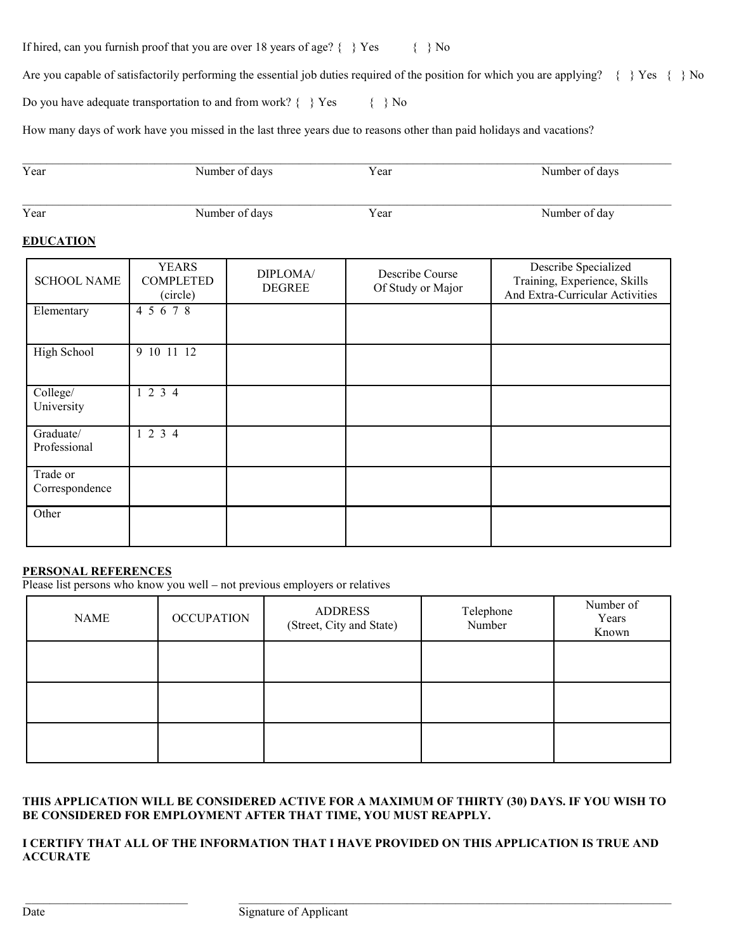If hired, can you furnish proof that you are over 18 years of age?  $\{\}$  Yes  $\{\}$  No

Are you capable of satisfactorily performing the essential job duties required of the position for which you are applying? { } Yes { } No

Do you have adequate transportation to and from work?  $\{\}$  Yes  $\{\}$  No

How many days of work have you missed in the last three years due to reasons other than paid holidays and vacations?

| Year | Number of days | Year | Number of days |
|------|----------------|------|----------------|
| Year | Number of days | Year | Number of day  |

## **EDUCATION**

| <b>SCHOOL NAME</b>         | <b>YEARS</b><br><b>COMPLETED</b><br>(circle) | DIPLOMA/<br><b>DEGREE</b> | Describe Course<br>Of Study or Major | Describe Specialized<br>Training, Experience, Skills<br>And Extra-Curricular Activities |
|----------------------------|----------------------------------------------|---------------------------|--------------------------------------|-----------------------------------------------------------------------------------------|
| Elementary                 | 4 5 6 7 8                                    |                           |                                      |                                                                                         |
| High School                | 9 10 11 12                                   |                           |                                      |                                                                                         |
| College/<br>University     | 1234                                         |                           |                                      |                                                                                         |
| Graduate/<br>Professional  | 1234                                         |                           |                                      |                                                                                         |
| Trade or<br>Correspondence |                                              |                           |                                      |                                                                                         |
| Other                      |                                              |                           |                                      |                                                                                         |

## **PERSONAL REFERENCES**

Please list persons who know you well – not previous employers or relatives

| <b>NAME</b> | <b>OCCUPATION</b> | <b>ADDRESS</b><br>(Street, City and State) | Telephone<br>Number | Number of<br>Years<br>Known |
|-------------|-------------------|--------------------------------------------|---------------------|-----------------------------|
|             |                   |                                            |                     |                             |
|             |                   |                                            |                     |                             |
|             |                   |                                            |                     |                             |

#### **THIS APPLICATION WILL BE CONSIDERED ACTIVE FOR A MAXIMUM OF THIRTY (30) DAYS. IF YOU WISH TO BE CONSIDERED FOR EMPLOYMENT AFTER THAT TIME, YOU MUST REAPPLY.**

#### **I CERTIFY THAT ALL OF THE INFORMATION THAT I HAVE PROVIDED ON THIS APPLICATION IS TRUE AND ACCURATE**

\_\_\_\_\_\_\_\_\_\_\_\_\_\_\_\_\_\_\_\_\_\_\_\_\_\_\_ \_\_\_\_\_\_\_\_\_\_\_\_\_\_\_\_\_\_\_\_\_\_\_\_\_\_\_\_\_\_\_\_\_\_\_\_\_\_\_\_\_\_\_\_\_\_\_\_\_\_\_\_\_\_\_\_\_\_\_\_\_\_\_\_\_\_\_\_\_\_\_\_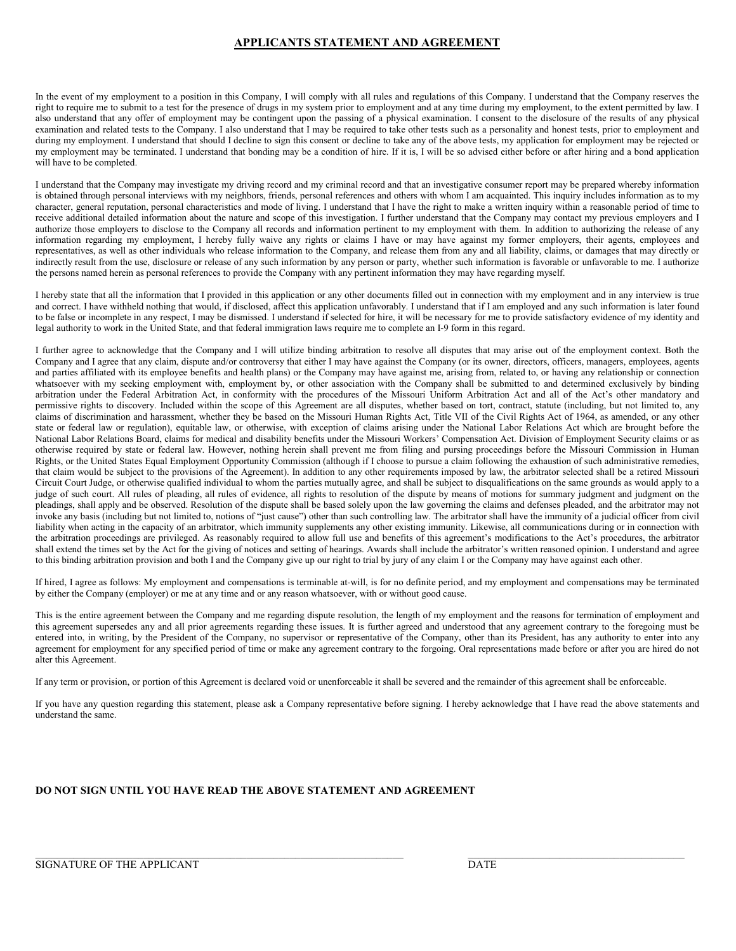#### **APPLICANTS STATEMENT AND AGREEMENT**

In the event of my employment to a position in this Company, I will comply with all rules and regulations of this Company. I understand that the Company reserves the right to require me to submit to a test for the presence of drugs in my system prior to employment and at any time during my employment, to the extent permitted by law. I also understand that any offer of employment may be contingent upon the passing of a physical examination. I consent to the disclosure of the results of any physical examination and related tests to the Company. I also understand that I may be required to take other tests such as a personality and honest tests, prior to employment and during my employment. I understand that should I decline to sign this consent or decline to take any of the above tests, my application for employment may be rejected or my employment may be terminated. I understand that bonding may be a condition of hire. If it is, I will be so advised either before or after hiring and a bond application will have to be completed.

I understand that the Company may investigate my driving record and my criminal record and that an investigative consumer report may be prepared whereby information is obtained through personal interviews with my neighbors, friends, personal references and others with whom I am acquainted. This inquiry includes information as to my character, general reputation, personal characteristics and mode of living. I understand that I have the right to make a written inquiry within a reasonable period of time to receive additional detailed information about the nature and scope of this investigation. I further understand that the Company may contact my previous employers and I authorize those employers to disclose to the Company all records and information pertinent to my employment with them. In addition to authorizing the release of any information regarding my employment, I hereby fully waive any rights or claims I have or may have against my former employers, their agents, employees and representatives, as well as other individuals who release information to the Company, and release them from any and all liability, claims, or damages that may directly or indirectly result from the use, disclosure or release of any such information by any person or party, whether such information is favorable or unfavorable to me. I authorize the persons named herein as personal references to provide the Company with any pertinent information they may have regarding myself.

I hereby state that all the information that I provided in this application or any other documents filled out in connection with my employment and in any interview is true and correct. I have withheld nothing that would, if disclosed, affect this application unfavorably. I understand that if I am employed and any such information is later found to be false or incomplete in any respect, I may be dismissed. I understand if selected for hire, it will be necessary for me to provide satisfactory evidence of my identity and legal authority to work in the United State, and that federal immigration laws require me to complete an I-9 form in this regard.

I further agree to acknowledge that the Company and I will utilize binding arbitration to resolve all disputes that may arise out of the employment context. Both the Company and I agree that any claim, dispute and/or controversy that either I may have against the Company (or its owner, directors, officers, managers, employees, agents and parties affiliated with its employee benefits and health plans) or the Company may have against me, arising from, related to, or having any relationship or connection whatsoever with my seeking employment with, employment by, or other association with the Company shall be submitted to and determined exclusively by binding arbitration under the Federal Arbitration Act, in conformity with the procedures of the Missouri Uniform Arbitration Act and all of the Act's other mandatory and permissive rights to discovery. Included within the scope of this Agreement are all disputes, whether based on tort, contract, statute (including, but not limited to, any claims of discrimination and harassment, whether they be based on the Missouri Human Rights Act, Title VII of the Civil Rights Act of 1964, as amended, or any other state or federal law or regulation), equitable law, or otherwise, with exception of claims arising under the National Labor Relations Act which are brought before the National Labor Relations Board, claims for medical and disability benefits under the Missouri Workers' Compensation Act. Division of Employment Security claims or as otherwise required by state or federal law. However, nothing herein shall prevent me from filing and pursing proceedings before the Missouri Commission in Human Rights, or the United States Equal Employment Opportunity Commission (although if I choose to pursue a claim following the exhaustion of such administrative remedies, that claim would be subject to the provisions of the Agreement). In addition to any other requirements imposed by law, the arbitrator selected shall be a retired Missouri Circuit Court Judge, or otherwise qualified individual to whom the parties mutually agree, and shall be subject to disqualifications on the same grounds as would apply to a judge of such court. All rules of pleading, all rules of evidence, all rights to resolution of the dispute by means of motions for summary judgment and judgment on the pleadings, shall apply and be observed. Resolution of the dispute shall be based solely upon the law governing the claims and defenses pleaded, and the arbitrator may not invoke any basis (including but not limited to, notions of "just cause") other than such controlling law. The arbitrator shall have the immunity of a judicial officer from civil liability when acting in the capacity of an arbitrator, which immunity supplements any other existing immunity. Likewise, all communications during or in connection with the arbitration proceedings are privileged. As reasonably required to allow full use and benefits of this agreement's modifications to the Act's procedures, the arbitrator shall extend the times set by the Act for the giving of notices and setting of hearings. Awards shall include the arbitrator's written reasoned opinion. I understand and agree to this binding arbitration provision and both I and the Company give up our right to trial by jury of any claim I or the Company may have against each other.

If hired, I agree as follows: My employment and compensations is terminable at-will, is for no definite period, and my employment and compensations may be terminated by either the Company (employer) or me at any time and or any reason whatsoever, with or without good cause.

This is the entire agreement between the Company and me regarding dispute resolution, the length of my employment and the reasons for termination of employment and this agreement supersedes any and all prior agreements regarding these issues. It is further agreed and understood that any agreement contrary to the foregoing must be entered into, in writing, by the President of the Company, no supervisor or representative of the Company, other than its President, has any authority to enter into any agreement for employment for any specified period of time or make any agreement contrary to the forgoing. Oral representations made before or after you are hired do not alter this Agreement.

If any term or provision, or portion of this Agreement is declared void or unenforceable it shall be severed and the remainder of this agreement shall be enforceable.

If you have any question regarding this statement, please ask a Company representative before signing. I hereby acknowledge that I have read the above statements and understand the same.

#### **DO NOT SIGN UNTIL YOU HAVE READ THE ABOVE STATEMENT AND AGREEMENT**